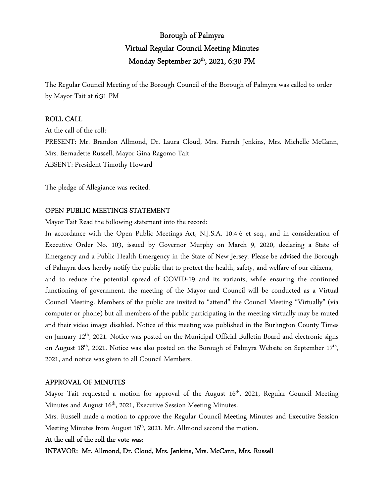# Borough of Palmyra Virtual Regular Council Meeting Minutes Monday September 20<sup>th</sup>, 2021, 6:30 PM

The Regular Council Meeting of the Borough Council of the Borough of Palmyra was called to order by Mayor Tait at 6:31 PM

### ROLL CALL

At the call of the roll: PRESENT: Mr. Brandon Allmond, Dr. Laura Cloud, Mrs. Farrah Jenkins, Mrs. Michelle McCann, Mrs. Bernadette Russell, Mayor Gina Ragomo Tait ABSENT: President Timothy Howard

The pledge of Allegiance was recited.

#### OPEN PUBLIC MEETINGS STATEMENT

Mayor Tait Read the following statement into the record:

In accordance with the Open Public Meetings Act, N.J.S.A. 10:4-6 et seq., and in consideration of Executive Order No. 103, issued by Governor Murphy on March 9, 2020, declaring a State of Emergency and a Public Health Emergency in the State of New Jersey. Please be advised the Borough of Palmyra does hereby notify the public that to protect the health, safety, and welfare of our citizens, and to reduce the potential spread of COVID-19 and its variants, while ensuring the continued functioning of government, the meeting of the Mayor and Council will be conducted as a Virtual Council Meeting. Members of the public are invited to "attend" the Council Meeting "Virtually" (via computer or phone) but all members of the public participating in the meeting virtually may be muted and their video image disabled. Notice of this meeting was published in the Burlington County Times on January 12<sup>th</sup>, 2021. Notice was posted on the Municipal Official Bulletin Board and electronic signs on August 18<sup>th</sup>, 2021. Notice was also posted on the Borough of Palmyra Website on September 17<sup>th</sup>, 2021, and notice was given to all Council Members.

#### APPROVAL OF MINUTES

Mayor Tait requested a motion for approval of the August  $16<sup>th</sup>$ , 2021, Regular Council Meeting Minutes and August 16<sup>th</sup>, 2021, Executive Session Meeting Minutes.

Mrs. Russell made a motion to approve the Regular Council Meeting Minutes and Executive Session Meeting Minutes from August 16<sup>th</sup>, 2021. Mr. Allmond second the motion.

#### At the call of the roll the vote was:

INFAVOR: Mr. Allmond, Dr. Cloud, Mrs. Jenkins, Mrs. McCann, Mrs. Russell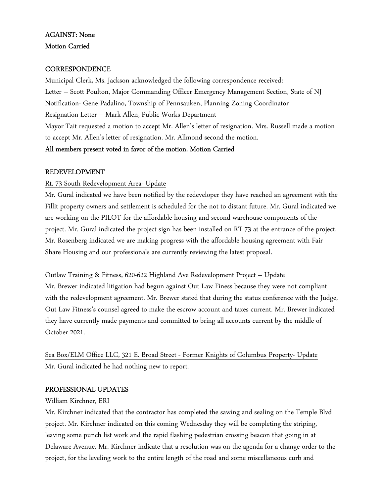# AGAINST: None Motion Carried

# **CORRESPONDENCE**

Municipal Clerk, Ms. Jackson acknowledged the following correspondence received: Letter – Scott Poulton, Major Commanding Officer Emergency Management Section, State of NJ Notification- Gene Padalino, Township of Pennsauken, Planning Zoning Coordinator Resignation Letter – Mark Allen, Public Works Department Mayor Tait requested a motion to accept Mr. Allen's letter of resignation. Mrs. Russell made a motion to accept Mr. Allen's letter of resignation. Mr. Allmond second the motion.

# All members present voted in favor of the motion. Motion Carried

# REDEVELOPMENT

# Rt. 73 South Redevelopment Area- Update

Mr. Gural indicated we have been notified by the redeveloper they have reached an agreement with the Fillit property owners and settlement is scheduled for the not to distant future. Mr. Gural indicated we are working on the PILOT for the affordable housing and second warehouse components of the project. Mr. Gural indicated the project sign has been installed on RT 73 at the entrance of the project. Mr. Rosenberg indicated we are making progress with the affordable housing agreement with Fair Share Housing and our professionals are currently reviewing the latest proposal.

# Outlaw Training & Fitness, 620-622 Highland Ave Redevelopment Project – Update

Mr. Brewer indicated litigation had begun against Out Law Finess because they were not compliant with the redevelopment agreement. Mr. Brewer stated that during the status conference with the Judge, Out Law Fitness's counsel agreed to make the escrow account and taxes current. Mr. Brewer indicated they have currently made payments and committed to bring all accounts current by the middle of October 2021.

Sea Box/ELM Office LLC, 321 E. Broad Street - Former Knights of Columbus Property- Update Mr. Gural indicated he had nothing new to report.

# PROFESSIONAL UPDATES

# William Kirchner, ERI

Mr. Kirchner indicated that the contractor has completed the sawing and sealing on the Temple Blvd project. Mr. Kirchner indicated on this coming Wednesday they will be completing the striping, leaving some punch list work and the rapid flashing pedestrian crossing beacon that going in at Delaware Avenue. Mr. Kirchner indicate that a resolution was on the agenda for a change order to the project, for the leveling work to the entire length of the road and some miscellaneous curb and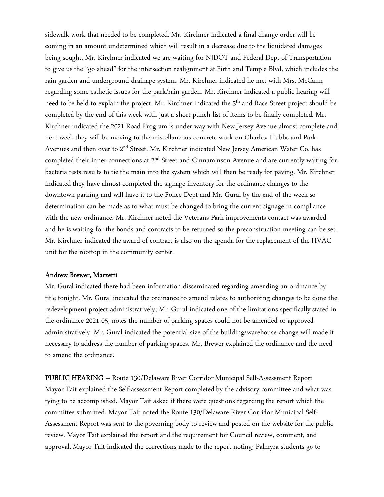sidewalk work that needed to be completed. Mr. Kirchner indicated a final change order will be coming in an amount undetermined which will result in a decrease due to the liquidated damages being sought. Mr. Kirchner indicated we are waiting for NJDOT and Federal Dept of Transportation to give us the "go ahead" for the intersection realignment at Firth and Temple Blvd, which includes the rain garden and underground drainage system. Mr. Kirchner indicated he met with Mrs. McCann regarding some esthetic issues for the park/rain garden. Mr. Kirchner indicated a public hearing will need to be held to explain the project. Mr. Kirchner indicated the 5<sup>th</sup> and Race Street project should be completed by the end of this week with just a short punch list of items to be finally completed. Mr. Kirchner indicated the 2021 Road Program is under way with New Jersey Avenue almost complete and next week they will be moving to the miscellaneous concrete work on Charles, Hubbs and Park Avenues and then over to 2<sup>nd</sup> Street. Mr. Kirchner indicated New Jersey American Water Co. has completed their inner connections at 2nd Street and Cinnaminson Avenue and are currently waiting for bacteria tests results to tie the main into the system which will then be ready for paving. Mr. Kirchner indicated they have almost completed the signage inventory for the ordinance changes to the downtown parking and will have it to the Police Dept and Mr. Gural by the end of the week so determination can be made as to what must be changed to bring the current signage in compliance with the new ordinance. Mr. Kirchner noted the Veterans Park improvements contact was awarded and he is waiting for the bonds and contracts to be returned so the preconstruction meeting can be set. Mr. Kirchner indicated the award of contract is also on the agenda for the replacement of the HVAC unit for the rooftop in the community center.

#### Andrew Brewer, Marzetti

Mr. Gural indicated there had been information disseminated regarding amending an ordinance by title tonight. Mr. Gural indicated the ordinance to amend relates to authorizing changes to be done the redevelopment project administratively; Mr. Gural indicated one of the limitations specifically stated in the ordinance 2021-05, notes the number of parking spaces could not be amended or approved administratively. Mr. Gural indicated the potential size of the building/warehouse change will made it necessary to address the number of parking spaces. Mr. Brewer explained the ordinance and the need to amend the ordinance.

PUBLIC HEARING – Route 130/Delaware River Corridor Municipal Self-Assessment Report Mayor Tait explained the Self-assessment Report completed by the advisory committee and what was tying to be accomplished. Mayor Tait asked if there were questions regarding the report which the committee submitted. Mayor Tait noted the Route 130/Delaware River Corridor Municipal Self-Assessment Report was sent to the governing body to review and posted on the website for the public review. Mayor Tait explained the report and the requirement for Council review, comment, and approval. Mayor Tait indicated the corrections made to the report noting; Palmyra students go to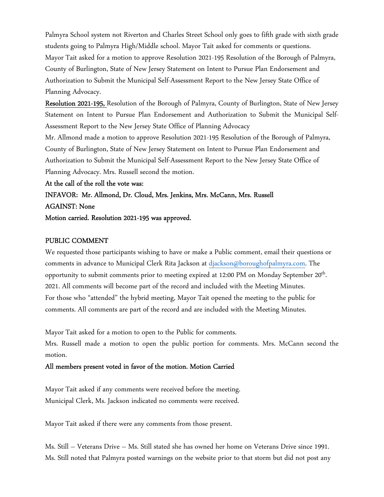Palmyra School system not Riverton and Charles Street School only goes to fifth grade with sixth grade students going to Palmyra High/Middle school. Mayor Tait asked for comments or questions. Mayor Tait asked for a motion to approve Resolution 2021-195 Resolution of the Borough of Palmyra, County of Burlington, State of New Jersey Statement on Intent to Pursue Plan Endorsement and Authorization to Submit the Municipal Self-Assessment Report to the New Jersey State Office of Planning Advocacy.

Resolution 2021-195, Resolution of the Borough of Palmyra, County of Burlington, State of New Jersey Statement on Intent to Pursue Plan Endorsement and Authorization to Submit the Municipal Self-Assessment Report to the New Jersey State Office of Planning Advocacy

Mr. Allmond made a motion to approve Resolution 2021-195 Resolution of the Borough of Palmyra, County of Burlington, State of New Jersey Statement on Intent to Pursue Plan Endorsement and Authorization to Submit the Municipal Self-Assessment Report to the New Jersey State Office of Planning Advocacy. Mrs. Russell second the motion.

At the call of the roll the vote was:

INFAVOR: Mr. Allmond, Dr. Cloud, Mrs. Jenkins, Mrs. McCann, Mrs. Russell AGAINST: None

Motion carried. Resolution 2021-195 was approved.

#### PUBLIC COMMENT

We requested those participants wishing to have or make a Public comment, email their questions or comments in advance to Municipal Clerk Rita Jackson at djackson@boroughofpalmyra.com. The opportunity to submit comments prior to meeting expired at 12:00 PM on Monday September 20<sup>th</sup>. 2021. All comments will become part of the record and included with the Meeting Minutes. For those who "attended" the hybrid meeting, Mayor Tait opened the meeting to the public for comments. All comments are part of the record and are included with the Meeting Minutes.

Mayor Tait asked for a motion to open to the Public for comments.

Mrs. Russell made a motion to open the public portion for comments. Mrs. McCann second the motion.

#### All members present voted in favor of the motion. Motion Carried

Mayor Tait asked if any comments were received before the meeting. Municipal Clerk, Ms. Jackson indicated no comments were received.

Mayor Tait asked if there were any comments from those present.

Ms. Still – Veterans Drive – Ms. Still stated she has owned her home on Veterans Drive since 1991. Ms. Still noted that Palmyra posted warnings on the website prior to that storm but did not post any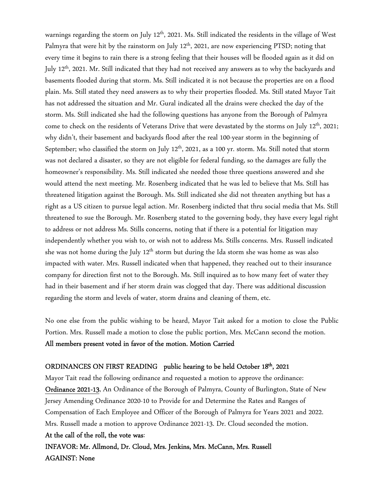warnings regarding the storm on July 12<sup>th</sup>, 2021. Ms. Still indicated the residents in the village of West Palmyra that were hit by the rainstorm on July 12<sup>th</sup>, 2021, are now experiencing PTSD; noting that every time it begins to rain there is a strong feeling that their houses will be flooded again as it did on July 12<sup>th</sup>, 2021. Mr. Still indicated that they had not received any answers as to why the backyards and basements flooded during that storm. Ms. Still indicated it is not because the properties are on a flood plain. Ms. Still stated they need answers as to why their properties flooded. Ms. Still stated Mayor Tait has not addressed the situation and Mr. Gural indicated all the drains were checked the day of the storm. Ms. Still indicated she had the following questions has anyone from the Borough of Palmyra come to check on the residents of Veterans Drive that were devastated by the storms on July 12<sup>th</sup>, 2021; why didn't, their basement and backyards flood after the real 100-year storm in the beginning of September; who classified the storm on July  $12<sup>th</sup>$ , 2021, as a 100 yr. storm. Ms. Still noted that storm was not declared a disaster, so they are not eligible for federal funding, so the damages are fully the homeowner's responsibility. Ms. Still indicated she needed those three questions answered and she would attend the next meeting. Mr. Rosenberg indicated that he was led to believe that Ms. Still has threatened litigation against the Borough. Ms. Still indicated she did not threaten anything but has a right as a US citizen to pursue legal action. Mr. Rosenberg indicted that thru social media that Ms. Still threatened to sue the Borough. Mr. Rosenberg stated to the governing body, they have every legal right to address or not address Ms. Stills concerns, noting that if there is a potential for litigation may independently whether you wish to, or wish not to address Ms. Stills concerns. Mrs. Russell indicated she was not home during the July 12<sup>th</sup> storm but during the Ida storm she was home as was also impacted with water. Mrs. Russell indicated when that happened, they reached out to their insurance company for direction first not to the Borough. Ms. Still inquired as to how many feet of water they had in their basement and if her storm drain was clogged that day. There was additional discussion regarding the storm and levels of water, storm drains and cleaning of them, etc.

No one else from the public wishing to be heard, Mayor Tait asked for a motion to close the Public Portion. Mrs. Russell made a motion to close the public portion, Mrs. McCann second the motion. All members present voted in favor of the motion. Motion Carried

# ORDINANCES ON FIRST READING public hearing to be held October 18<sup>th</sup>, 2021

Mayor Tait read the following ordinance and requested a motion to approve the ordinance: Ordinance 2021-13, An Ordinance of the Borough of Palmyra, County of Burlington, State of New Jersey Amending Ordinance 2020-10 to Provide for and Determine the Rates and Ranges of Compensation of Each Employee and Officer of the Borough of Palmyra for Years 2021 and 2022. Mrs. Russell made a motion to approve Ordinance 2021-13. Dr. Cloud seconded the motion. At the call of the roll, the vote was:

INFAVOR: Mr. Allmond, Dr. Cloud, Mrs. Jenkins, Mrs. McCann, Mrs. Russell AGAINST: None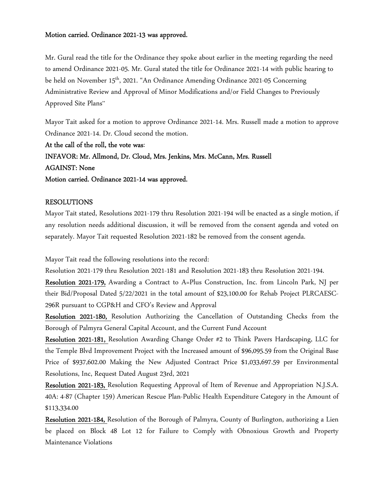#### Motion carried. Ordinance 2021-13 was approved.

Mr. Gural read the title for the Ordinance they spoke about earlier in the meeting regarding the need to amend Ordinance 2021-05. Mr. Gural stated the title for Ordinance 2021-14 with public hearing to be held on November 15<sup>th</sup>, 2021. "An Ordinance Amending Ordinance 2021-05 Concerning Administrative Review and Approval of Minor Modifications and/or Field Changes to Previously Approved Site Plans"

Mayor Tait asked for a motion to approve Ordinance 2021-14. Mrs. Russell made a motion to approve Ordinance 2021-14. Dr. Cloud second the motion.

At the call of the roll, the vote was: INFAVOR: Mr. Allmond, Dr. Cloud, Mrs. Jenkins, Mrs. McCann, Mrs. Russell AGAINST: None Motion carried. Ordinance 2021-14 was approved.

# RESOLUTIONS

Mayor Tait stated, Resolutions 2021-179 thru Resolution 2021-194 will be enacted as a single motion, if any resolution needs additional discussion, it will be removed from the consent agenda and voted on separately. Mayor Tait requested Resolution 2021-182 be removed from the consent agenda.

Mayor Tait read the following resolutions into the record:

Resolution 2021-179 thru Resolution 2021-181 and Resolution 2021-183 thru Resolution 2021-194.

Resolution 2021-179, Awarding a Contract to A=Plus Construction, Inc. from Lincoln Park, NJ per their Bid/Proposal Dated 5/22/2021 in the total amount of \$23,100.00 for Rehab Project PLRCAESC-296R pursuant to CGP&H and CFO's Review and Approval

Resolution 2021-180, Resolution Authorizing the Cancellation of Outstanding Checks from the Borough of Palmyra General Capital Account, and the Current Fund Account

Resolution 2021-181, Resolution Awarding Change Order #2 to Think Pavers Hardscaping, LLC for the Temple Blvd Improvement Project with the Increased amount of \$96,095.59 from the Original Base Price of \$937,602.00 Making the New Adjusted Contract Price \$1,033,697.59 per Environmental Resolutions, Inc, Request Dated August 23rd, 2021

Resolution 2021-183, Resolution Requesting Approval of Item of Revenue and Appropriation N.J.S.A. 40A: 4-87 (Chapter 159) American Rescue Plan-Public Health Expenditure Category in the Amount of \$113,334.00

Resolution 2021-184, Resolution of the Borough of Palmyra, County of Burlington, authorizing a Lien be placed on Block 48 Lot 12 for Failure to Comply with Obnoxious Growth and Property Maintenance Violations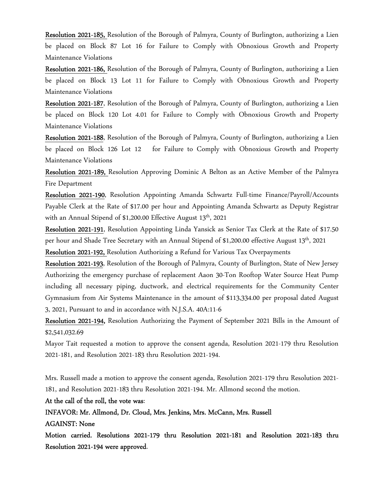Resolution 2021-185, Resolution of the Borough of Palmyra, County of Burlington, authorizing a Lien be placed on Block 87 Lot 16 for Failure to Comply with Obnoxious Growth and Property Maintenance Violations

Resolution 2021-186, Resolution of the Borough of Palmyra, County of Burlington, authorizing a Lien be placed on Block 13 Lot 11 for Failure to Comply with Obnoxious Growth and Property Maintenance Violations

Resolution 2021-187, Resolution of the Borough of Palmyra, County of Burlington, authorizing a Lien be placed on Block 120 Lot 4.01 for Failure to Comply with Obnoxious Growth and Property Maintenance Violations

Resolution 2021-188, Resolution of the Borough of Palmyra, County of Burlington, authorizing a Lien be placed on Block 126 Lot 12 for Failure to Comply with Obnoxious Growth and Property Maintenance Violations

Resolution 2021-189, Resolution Approving Dominic A Belton as an Active Member of the Palmyra Fire Department

Resolution 2021-190, Resolution Appointing Amanda Schwartz Full-time Finance/Payroll/Accounts Payable Clerk at the Rate of \$17.00 per hour and Appointing Amanda Schwartz as Deputy Registrar with an Annual Stipend of \$1,200.00 Effective August 13<sup>th</sup>, 2021

Resolution 2021-191, Resolution Appointing Linda Yansick as Senior Tax Clerk at the Rate of \$17.50 per hour and Shade Tree Secretary with an Annual Stipend of \$1,200.00 effective August 13th, 2021

Resolution 2021-192, Resolution Authorizing a Refund for Various Tax Overpayments

Resolution 2021-193, Resolution of the Borough of Palmyra, County of Burlington, State of New Jersey Authorizing the emergency purchase of replacement Aaon 30-Ton Rooftop Water Source Heat Pump including all necessary piping, ductwork, and electrical requirements for the Community Center Gymnasium from Air Systems Maintenance in the amount of \$113,334.00 per proposal dated August 3, 2021, Pursuant to and in accordance with N.J.S.A. 40A:11-6

Resolution 2021-194, Resolution Authorizing the Payment of September 2021 Bills in the Amount of \$2,541,032.69

Mayor Tait requested a motion to approve the consent agenda, Resolution 2021-179 thru Resolution 2021-181, and Resolution 2021-183 thru Resolution 2021-194.

Mrs. Russell made a motion to approve the consent agenda, Resolution 2021-179 thru Resolution 2021- 181, and Resolution 2021-183 thru Resolution 2021-194. Mr. Allmond second the motion.

At the call of the roll, the vote was:

INFAVOR: Mr. Allmond, Dr. Cloud, Mrs. Jenkins, Mrs. McCann, Mrs. Russell

AGAINST: None

Motion carried. Resolutions 2021-179 thru Resolution 2021-181 and Resolution 2021-183 thru Resolution 2021-194 were approved.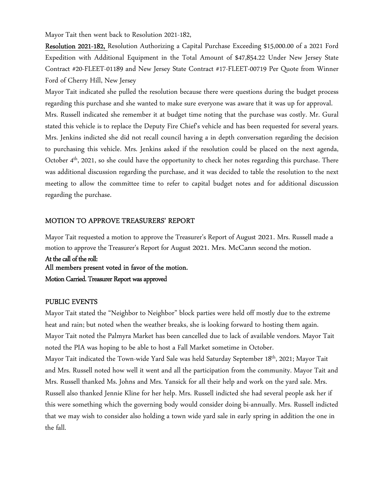Mayor Tait then went back to Resolution 2021-182,

Resolution 2021-182, Resolution Authorizing a Capital Purchase Exceeding \$15,000.00 of a 2021 Ford Expedition with Additional Equipment in the Total Amount of \$47,854.22 Under New Jersey State Contract #20-FLEET-01189 and New Jersey State Contract #17-FLEET-00719 Per Quote from Winner Ford of Cherry Hill, New Jersey

Mayor Tait indicated she pulled the resolution because there were questions during the budget process regarding this purchase and she wanted to make sure everyone was aware that it was up for approval. Mrs. Russell indicated she remember it at budget time noting that the purchase was costly. Mr. Gural stated this vehicle is to replace the Deputy Fire Chief's vehicle and has been requested for several years. Mrs. Jenkins indicted she did not recall council having a in depth conversation regarding the decision to purchasing this vehicle. Mrs. Jenkins asked if the resolution could be placed on the next agenda, October 4th, 2021, so she could have the opportunity to check her notes regarding this purchase. There was additional discussion regarding the purchase, and it was decided to table the resolution to the next meeting to allow the committee time to refer to capital budget notes and for additional discussion regarding the purchase.

# MOTION TO APPROVE TREASURERS' REPORT

Mayor Tait requested a motion to approve the Treasurer's Report of August 2021. Mrs. Russell made a motion to approve the Treasurer's Report for August 2021. Mrs. McCann second the motion.

At the call of the roll: All members present voted in favor of the motion. Motion Carried. Treasurer Report was approved

#### PUBLIC EVENTS

Mayor Tait stated the "Neighbor to Neighbor" block parties were held off mostly due to the extreme heat and rain; but noted when the weather breaks, she is looking forward to hosting them again. Mayor Tait noted the Palmyra Market has been cancelled due to lack of available vendors. Mayor Tait noted the PIA was hoping to be able to host a Fall Market sometime in October. Mayor Tait indicated the Town-wide Yard Sale was held Saturday September 18th, 2021; Mayor Tait and Mrs. Russell noted how well it went and all the participation from the community. Mayor Tait and Mrs. Russell thanked Ms. Johns and Mrs. Yansick for all their help and work on the yard sale. Mrs. Russell also thanked Jennie Kline for her help. Mrs. Russell indicted she had several people ask her if this were something which the governing body would consider doing bi-annually. Mrs. Russell indicted that we may wish to consider also holding a town wide yard sale in early spring in addition the one in the fall.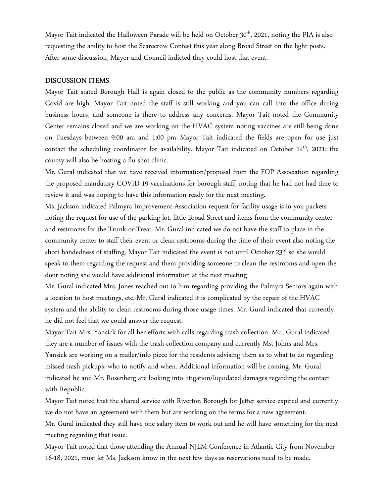Mayor Tait indicated the Halloween Parade will be held on October 30<sup>th</sup>, 2021, noting the PIA is also requesting the ability to host the Scarecrow Contest this year along Broad Street on the light posts. After some discussion, Mayor and Council indicted they could host that event.

#### DISCUSSION ITEMS

Mayor Tait stated Borough Hall is again closed to the public as the community numbers regarding Covid are high. Mayor Tait noted the staff is still working and you can call into the office during business hours, and someone is there to address any concerns. Mayor Tait noted the Community Center remains closed and we are working on the HVAC system noting vaccines are still being done on Tuesdays between 9:00 am and 1:00 pm. Mayor Tait indicated the fields are open for use just contact the scheduling coordinator for availability. Mayor Tait indicated on October 14<sup>th</sup>, 2021; the county will also be hosting a flu shot clinic.

Mr. Gural indicated that we have received information/proposal from the FOP Association regarding the proposed mandatory COVID-19 vaccinations for borough staff, noting that he had not had time to review it and was hoping to have this information ready for the next meeting.

Ms. Jackson indicated Palmyra Improvement Association request for facility usage is in you packets noting the request for use of the parking lot, little Broad Street and items from the community center and restrooms for the Trunk-or-Treat. Mr. Gural indicated we do not have the staff to place in the community center to staff their event or clean restrooms during the time of their event also noting the short handedness of staffing. Mayor Tait indicated the event is not until October 23rd so she would speak to them regarding the request and them providing someone to clean the restrooms and open the door noting she would have additional information at the next meeting

Mr. Gural indicated Mrs. Jones reached out to him regarding providing the Palmyra Seniors again with a location to host meetings, etc. Mr. Gural indicated it is complicated by the repair of the HVAC system and the ability to clean restrooms during those usage times. Mr. Gural indicated that currently he did not feel that we could answer the request.

Mayor Tait Mrs. Yansick for all her efforts with calls regarding trash collection. Mr., Gural indicated they are a number of issues with the trash collection company and currently Ms. Johns and Mrs. Yansick are working on a mailer/info piece for the residents advising them as to what to do regarding missed trash pickups, who to notify and when. Additional information will be coming. Mr. Gural indicated he and Mr. Rosenberg are looking into litigation/liquidated damages regarding the contact with Republic.

Mayor Tait noted that the shared service with Riverton Borough for Jetter service expired and currently we do not have an agreement with them but are working on the terms for a new agreement.

Mr. Gural indicated they still have one salary item to work out and he will have something for the next meeting regarding that issue.

Mayor Tait noted that those attending the Annual NJLM Conference in Atlantic City from November 16-18, 2021, must let Ms. Jackson know in the next few days as reservations need to be made.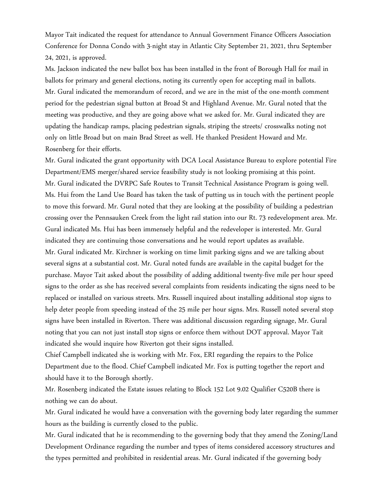Mayor Tait indicated the request for attendance to Annual Government Finance Officers Association Conference for Donna Condo with 3-night stay in Atlantic City September 21, 2021, thru September 24, 2021, is approved.

Ms. Jackson indicated the new ballot box has been installed in the front of Borough Hall for mail in ballots for primary and general elections, noting its currently open for accepting mail in ballots. Mr. Gural indicated the memorandum of record, and we are in the mist of the one-month comment period for the pedestrian signal button at Broad St and Highland Avenue. Mr. Gural noted that the meeting was productive, and they are going above what we asked for. Mr. Gural indicated they are updating the handicap ramps, placing pedestrian signals, striping the streets/ crosswalks noting not only on little Broad but on main Brad Street as well. He thanked President Howard and Mr. Rosenberg for their efforts.

Mr. Gural indicated the grant opportunity with DCA Local Assistance Bureau to explore potential Fire Department/EMS merger/shared service feasibility study is not looking promising at this point. Mr. Gural indicated the DVRPC Safe Routes to Transit Technical Assistance Program is going well. Ms. Hui from the Land Use Board has taken the task of putting us in touch with the pertinent people to move this forward. Mr. Gural noted that they are looking at the possibility of building a pedestrian crossing over the Pennsauken Creek from the light rail station into our Rt. 73 redevelopment area. Mr. Gural indicated Ms. Hui has been immensely helpful and the redeveloper is interested. Mr. Gural indicated they are continuing those conversations and he would report updates as available. Mr. Gural indicated Mr. Kirchner is working on time limit parking signs and we are talking about several signs at a substantial cost. Mr. Gural noted funds are available in the capital budget for the purchase. Mayor Tait asked about the possibility of adding additional twenty-five mile per hour speed signs to the order as she has received several complaints from residents indicating the signs need to be replaced or installed on various streets. Mrs. Russell inquired about installing additional stop signs to help deter people from speeding instead of the 25 mile per hour signs. Mrs. Russell noted several stop signs have been installed in Riverton. There was additional discussion regarding signage, Mr. Gural noting that you can not just install stop signs or enforce them without DOT approval. Mayor Tait indicated she would inquire how Riverton got their signs installed.

Chief Campbell indicated she is working with Mr. Fox, ERI regarding the repairs to the Police Department due to the flood. Chief Campbell indicated Mr. Fox is putting together the report and should have it to the Borough shortly.

Mr. Rosenberg indicated the Estate issues relating to Block 152 Lot 9.02 Qualifier C520B there is nothing we can do about.

Mr. Gural indicated he would have a conversation with the governing body later regarding the summer hours as the building is currently closed to the public.

Mr. Gural indicated that he is recommending to the governing body that they amend the Zoning/Land Development Ordinance regarding the number and types of items considered accessory structures and the types permitted and prohibited in residential areas. Mr. Gural indicated if the governing body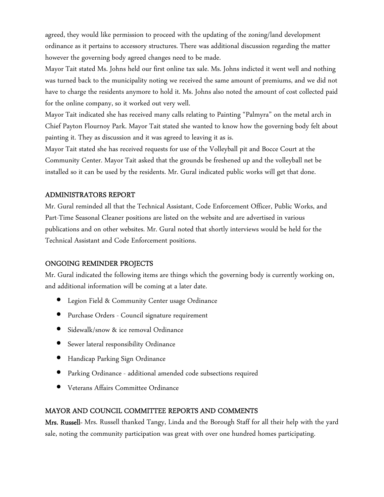agreed, they would like permission to proceed with the updating of the zoning/land development ordinance as it pertains to accessory structures. There was additional discussion regarding the matter however the governing body agreed changes need to be made.

Mayor Tait stated Ms. Johns held our first online tax sale. Ms. Johns indicted it went well and nothing was turned back to the municipality noting we received the same amount of premiums, and we did not have to charge the residents anymore to hold it. Ms. Johns also noted the amount of cost collected paid for the online company, so it worked out very well.

Mayor Tait indicated she has received many calls relating to Painting "Palmyra" on the metal arch in Chief Payton Flournoy Park. Mayor Tait stated she wanted to know how the governing body felt about painting it. They as discussion and it was agreed to leaving it as is.

Mayor Tait stated she has received requests for use of the Volleyball pit and Bocce Court at the Community Center. Mayor Tait asked that the grounds be freshened up and the volleyball net be installed so it can be used by the residents. Mr. Gural indicated public works will get that done.

# ADMINISTRATORS REPORT

Mr. Gural reminded all that the Technical Assistant, Code Enforcement Officer, Public Works, and Part-Time Seasonal Cleaner positions are listed on the website and are advertised in various publications and on other websites. Mr. Gural noted that shortly interviews would be held for the Technical Assistant and Code Enforcement positions.

#### ONGOING REMINDER PROJECTS

Mr. Gural indicated the following items are things which the governing body is currently working on, and additional information will be coming at a later date.

- Legion Field & Community Center usage Ordinance
- Purchase Orders Council signature requirement
- Sidewalk/snow & ice removal Ordinance
- Sewer lateral responsibility Ordinance
- Handicap Parking Sign Ordinance
- Parking Ordinance additional amended code subsections required
- Veterans Affairs Committee Ordinance

#### MAYOR AND COUNCIL COMMITTEE REPORTS AND COMMENTS

Mrs. Russell- Mrs. Russell thanked Tangy, Linda and the Borough Staff for all their help with the yard sale, noting the community participation was great with over one hundred homes participating.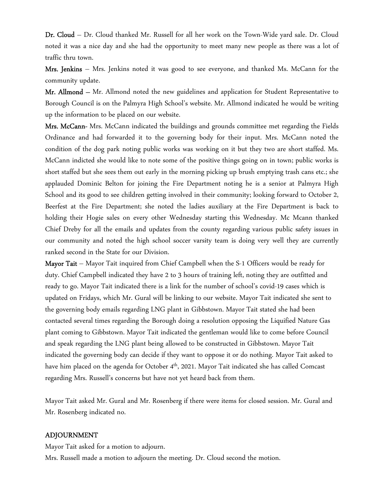Dr. Cloud – Dr. Cloud thanked Mr. Russell for all her work on the Town-Wide yard sale. Dr. Cloud noted it was a nice day and she had the opportunity to meet many new people as there was a lot of traffic thru town.

Mrs. Jenkins – Mrs. Jenkins noted it was good to see everyone, and thanked Ms. McCann for the community update.

Mr. Allmond – Mr. Allmond noted the new guidelines and application for Student Representative to Borough Council is on the Palmyra High School's website. Mr. Allmond indicated he would be writing up the information to be placed on our website.

Mrs. McCann- Mrs. McCann indicated the buildings and grounds committee met regarding the Fields Ordinance and had forwarded it to the governing body for their input. Mrs. McCann noted the condition of the dog park noting public works was working on it but they two are short staffed. Ms. McCann indicted she would like to note some of the positive things going on in town; public works is short staffed but she sees them out early in the morning picking up brush emptying trash cans etc.; she applauded Dominic Belton for joining the Fire Department noting he is a senior at Palmyra High School and its good to see children getting involved in their community; looking forward to October 2, Beerfest at the Fire Department; she noted the ladies auxiliary at the Fire Department is back to holding their Hogie sales on every other Wednesday starting this Wednesday. Mc Mcann thanked Chief Dreby for all the emails and updates from the county regarding various public safety issues in our community and noted the high school soccer varsity team is doing very well they are currently ranked second in the State for our Division.

Mayor Tait – Mayor Tait inquired from Chief Campbell when the S-1 Officers would be ready for duty. Chief Campbell indicated they have 2 to 3 hours of training left, noting they are outfitted and ready to go. Mayor Tait indicated there is a link for the number of school's covid-19 cases which is updated on Fridays, which Mr. Gural will be linking to our website. Mayor Tait indicated she sent to the governing body emails regarding LNG plant in Gibbstown. Mayor Tait stated she had been contacted several times regarding the Borough doing a resolution opposing the Liquified Nature Gas plant coming to Gibbstown. Mayor Tait indicated the gentleman would like to come before Council and speak regarding the LNG plant being allowed to be constructed in Gibbstown. Mayor Tait indicated the governing body can decide if they want to oppose it or do nothing. Mayor Tait asked to have him placed on the agenda for October 4<sup>th</sup>, 2021. Mayor Tait indicated she has called Comcast regarding Mrs. Russell's concerns but have not yet heard back from them.

Mayor Tait asked Mr. Gural and Mr. Rosenberg if there were items for closed session. Mr. Gural and Mr. Rosenberg indicated no.

#### ADJOURNMENT

Mayor Tait asked for a motion to adjourn.

Mrs. Russell made a motion to adjourn the meeting. Dr. Cloud second the motion.